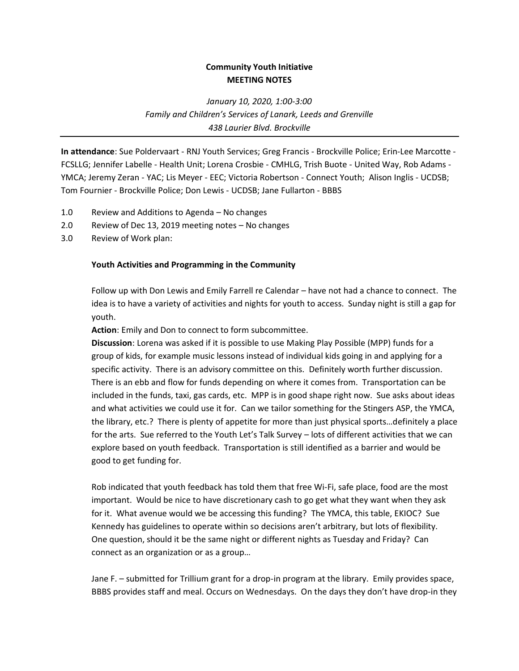## **Community Youth Initiative MEETING NOTES**

*January 10, 2020, 1:00-3:00 Family and Children's Services of Lanark, Leeds and Grenville 438 Laurier Blvd. Brockville*

**In attendance**: Sue Poldervaart - RNJ Youth Services; Greg Francis - Brockville Police; Erin-Lee Marcotte - FCSLLG; Jennifer Labelle - Health Unit; Lorena Crosbie - CMHLG, Trish Buote - United Way, Rob Adams - YMCA; Jeremy Zeran - YAC; Lis Meyer - EEC; Victoria Robertson - Connect Youth; Alison Inglis - UCDSB; Tom Fournier - Brockville Police; Don Lewis - UCDSB; Jane Fullarton - BBBS

- 1.0 Review and Additions to Agenda No changes
- 2.0 Review of Dec 13, 2019 meeting notes No changes
- 3.0 Review of Work plan:

## **Youth Activities and Programming in the Community**

Follow up with Don Lewis and Emily Farrell re Calendar – have not had a chance to connect. The idea is to have a variety of activities and nights for youth to access. Sunday night is still a gap for youth.

**Action**: Emily and Don to connect to form subcommittee.

**Discussion**: Lorena was asked if it is possible to use Making Play Possible (MPP) funds for a group of kids, for example music lessons instead of individual kids going in and applying for a specific activity. There is an advisory committee on this. Definitely worth further discussion. There is an ebb and flow for funds depending on where it comes from. Transportation can be included in the funds, taxi, gas cards, etc. MPP is in good shape right now. Sue asks about ideas and what activities we could use it for. Can we tailor something for the Stingers ASP, the YMCA, the library, etc.? There is plenty of appetite for more than just physical sports…definitely a place for the arts. Sue referred to the Youth Let's Talk Survey – lots of different activities that we can explore based on youth feedback. Transportation is still identified as a barrier and would be good to get funding for.

Rob indicated that youth feedback has told them that free Wi-Fi, safe place, food are the most important. Would be nice to have discretionary cash to go get what they want when they ask for it. What avenue would we be accessing this funding? The YMCA, this table, EKIOC? Sue Kennedy has guidelines to operate within so decisions aren't arbitrary, but lots of flexibility. One question, should it be the same night or different nights as Tuesday and Friday? Can connect as an organization or as a group…

Jane F. – submitted for Trillium grant for a drop-in program at the library. Emily provides space, BBBS provides staff and meal. Occurs on Wednesdays. On the days they don't have drop-in they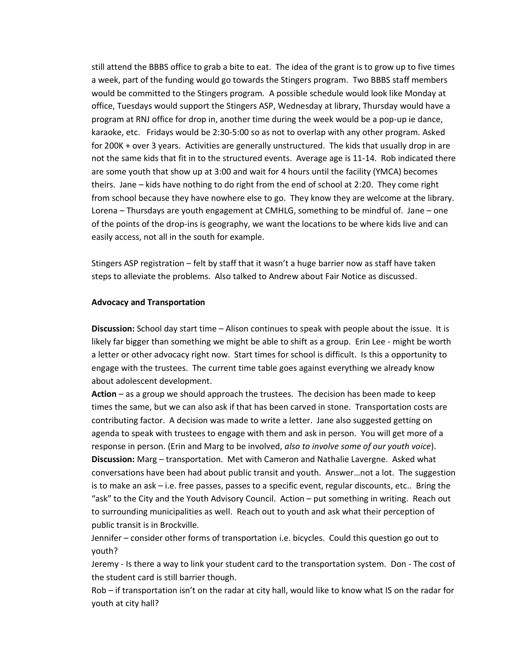still attend the BBBS office to grab a bite to eat. The idea of the grant is to grow up to five times a week, part of the funding would go towards the Stingers program. Two BBBS staff members would be committed to the Stingers program. A possible schedule would look like Monday at office, Tuesdays would support the Stingers ASP, Wednesday at library, Thursday would have a program at RNJ office for drop in, another time during the week would be a pop-up ie dance, karaoke, etc. Fridays would be 2:30-5:00 so as not to overlap with any other program. Asked for 200K + over 3 years. Activities are generally unstructured. The kids that usually drop in are not the same kids that fit in to the structured events. Average age is 11-14. Rob indicated there are some youth that show up at 3:00 and wait for 4 hours until the facility (YMCA) becomes theirs. Jane – kids have nothing to do right from the end of school at 2:20. They come right from school because they have nowhere else to go. They know they are welcome at the library. Lorena – Thursdays are youth engagement at CMHLG, something to be mindful of. Jane – one of the points of the drop-ins is geography, we want the locations to be where kids live and can easily access, not all in the south for example.

Stingers ASP registration – felt by staff that it wasn't a huge barrier now as staff have taken steps to alleviate the problems. Also talked to Andrew about Fair Notice as discussed.

## **Advocacy and Transportation**

**Discussion:** School day start time – Alison continues to speak with people about the issue. It is likely far bigger than something we might be able to shift as a group. Erin Lee - might be worth a letter or other advocacy right now. Start times for school is difficult. Is this a opportunity to engage with the trustees. The current time table goes against everything we already know about adolescent development.

**Action** – as a group we should approach the trustees. The decision has been made to keep times the same, but we can also ask if that has been carved in stone. Transportation costs are contributing factor. A decision was made to write a letter. Jane also suggested getting on agenda to speak with trustees to engage with them and ask in person. You will get more of a response in person. (Erin and Marg to be involved, *also to involve some of our youth voice*). **Discussion:** Marg – transportation. Met with Cameron and Nathalie Lavergne. Asked what conversations have been had about public transit and youth. Answer…not a lot. The suggestion is to make an ask – i.e. free passes, passes to a specific event, regular discounts, etc.. Bring the "ask" to the City and the Youth Advisory Council. Action – put something in writing. Reach out to surrounding municipalities as well. Reach out to youth and ask what their perception of public transit is in Brockville.

Jennifer – consider other forms of transportation i.e. bicycles. Could this question go out to youth?

Jeremy - Is there a way to link your student card to the transportation system. Don - The cost of the student card is still barrier though.

Rob – if transportation isn't on the radar at city hall, would like to know what IS on the radar for youth at city hall?